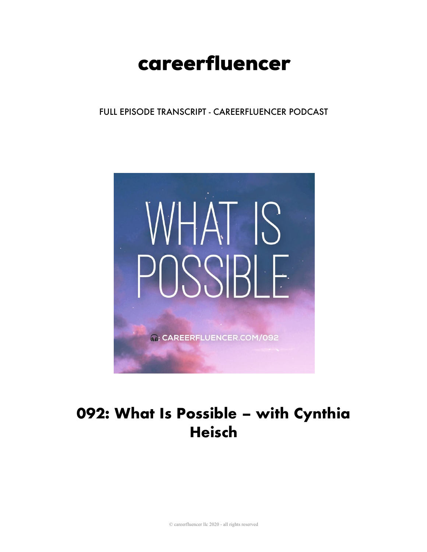# careerfluencer

FULL EPISODE TRANSCRIPT - CAREERFLUENCER PODCAST



# 092: What Is Possible - with Cynthia Heisch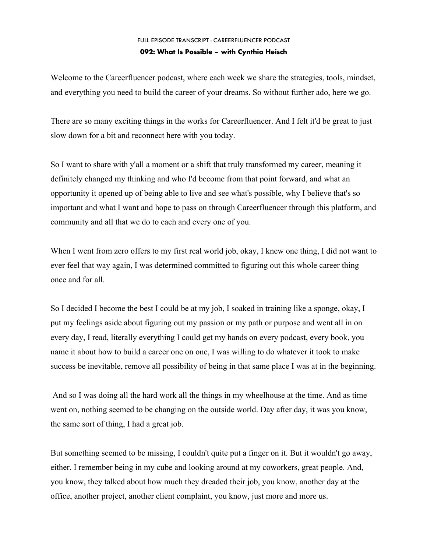Welcome to the Careerfluencer podcast, where each week we share the strategies, tools, mindset, and everything you need to build the career of your dreams. So without further ado, here we go.

There are so many exciting things in the works for Careerfluencer. And I felt it'd be great to just slow down for a bit and reconnect here with you today.

So I want to share with y'all a moment or a shift that truly transformed my career, meaning it definitely changed my thinking and who I'd become from that point forward, and what an opportunity it opened up of being able to live and see what's possible, why I believe that's so important and what I want and hope to pass on through Careerfluencer through this platform, and community and all that we do to each and every one of you.

When I went from zero offers to my first real world job, okay, I knew one thing, I did not want to ever feel that way again, I was determined committed to figuring out this whole career thing once and for all.

So I decided I become the best I could be at my job, I soaked in training like a sponge, okay, I put my feelings aside about figuring out my passion or my path or purpose and went all in on every day, I read, literally everything I could get my hands on every podcast, every book, you name it about how to build a career one on one, I was willing to do whatever it took to make success be inevitable, remove all possibility of being in that same place I was at in the beginning.

And so I was doing all the hard work all the things in my wheelhouse at the time. And as time went on, nothing seemed to be changing on the outside world. Day after day, it was you know, the same sort of thing, I had a great job.

But something seemed to be missing, I couldn't quite put a finger on it. But it wouldn't go away, either. I remember being in my cube and looking around at my coworkers, great people. And, you know, they talked about how much they dreaded their job, you know, another day at the office, another project, another client complaint, you know, just more and more us.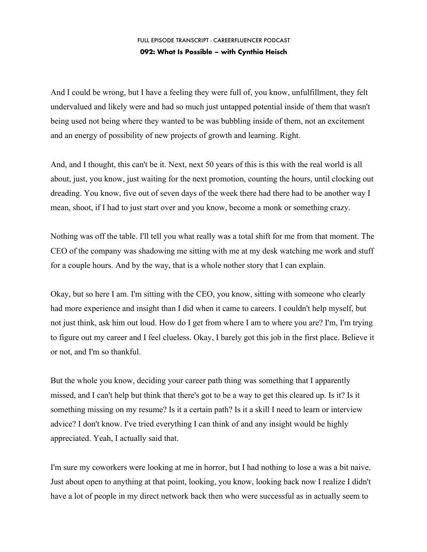And I could be wrong, but I have a feeling they were full of, you know, unfulfillment, they felt undervalued and likely were and had so much just untapped potential inside of them that wasn't being used not being where they wanted to be was bubbling inside of them, not an excitement and an energy of possibility of new projects of growth and learning. Right.

And, and I thought, this can't be it. Next, next 50 years of this is this with the real world is all about, just, you know, just waiting for the next promotion, counting the hours, until clocking out dreading. You know, five out of seven days of the week there had there had to be another way I mean, shoot, if I had to just start over and you know, become a monk or something crazy.

Nothing was off the table. I'll tell you what really was a total shift for me from that moment. The CEO of the company was shadowing me sitting with me at my desk watching me work and stuff for a couple hours. And by the way, that is a whole nother story that I can explain.

Okay, but so here I am. I'm sitting with the CEO, you know, sitting with someone who clearly had more experience and insight than I did when it came to careers. I couldn't help myself, but not just think, ask him out loud. How do I get from where I am to where you are? I'm, I'm trying to figure out my career and I feel clueless. Okay, I barely got this job in the first place. Believe it or not, and I'm so thankful.

But the whole you know, deciding your career path thing was something that I apparently missed, and I can't help but think that there's got to be a way to get this cleared up. Is it? Is it something missing on my resume? Is it a certain path? Is it a skill I need to learn or interview advice? I don't know. I've tried everything I can think of and any insight would be highly appreciated. Yeah, I actually said that.

I'm sure my coworkers were looking at me in horror, but I had nothing to lose a was a bit naive. Just about open to anything at that point, looking, you know, looking back now I realize I didn't have a lot of people in my direct network back then who were successful as in actually seem to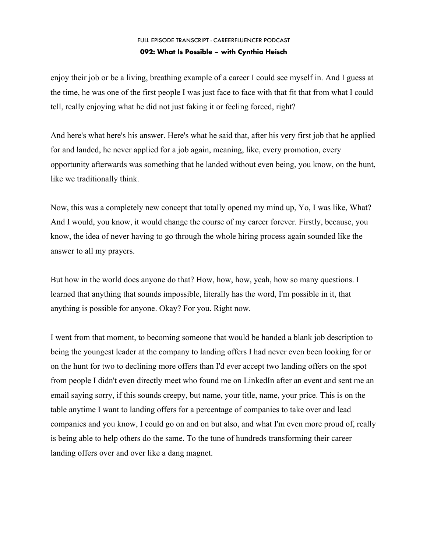enjoy their job or be a living, breathing example of a career I could see myself in. And I guess at the time, he was one of the first people I was just face to face with that fit that from what I could tell, really enjoying what he did not just faking it or feeling forced, right?

And here's what here's his answer. Here's what he said that, after his very first job that he applied for and landed, he never applied for a job again, meaning, like, every promotion, every opportunity afterwards was something that he landed without even being, you know, on the hunt, like we traditionally think.

Now, this was a completely new concept that totally opened my mind up, Yo, I was like, What? And I would, you know, it would change the course of my career forever. Firstly, because, you know, the idea of never having to go through the whole hiring process again sounded like the answer to all my prayers.

But how in the world does anyone do that? How, how, how, yeah, how so many questions. I learned that anything that sounds impossible, literally has the word, I'm possible in it, that anything is possible for anyone. Okay? For you. Right now.

I went from that moment, to becoming someone that would be handed a blank job description to being the youngest leader at the company to landing offers I had never even been looking for or on the hunt for two to declining more offers than I'd ever accept two landing offers on the spot from people I didn't even directly meet who found me on LinkedIn after an event and sent me an email saying sorry, if this sounds creepy, but name, your title, name, your price. This is on the table anytime I want to landing offers for a percentage of companies to take over and lead companies and you know, I could go on and on but also, and what I'm even more proud of, really is being able to help others do the same. To the tune of hundreds transforming their career landing offers over and over like a dang magnet.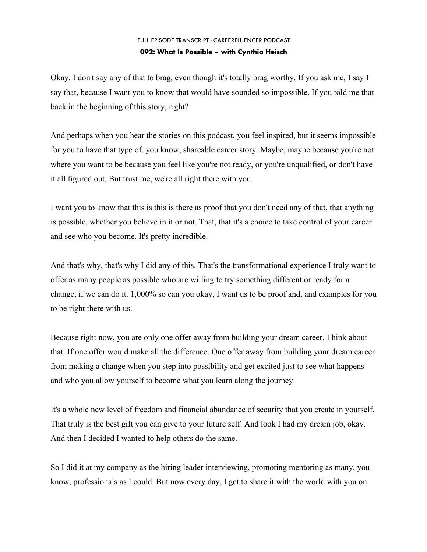Okay. I don't say any of that to brag, even though it's totally brag worthy. If you ask me, I say I say that, because I want you to know that would have sounded so impossible. If you told me that back in the beginning of this story, right?

And perhaps when you hear the stories on this podcast, you feel inspired, but it seems impossible for you to have that type of, you know, shareable career story. Maybe, maybe because you're not where you want to be because you feel like you're not ready, or you're unqualified, or don't have it all figured out. But trust me, we're all right there with you.

I want you to know that this is this is there as proof that you don't need any of that, that anything is possible, whether you believe in it or not. That, that it's a choice to take control of your career and see who you become. It's pretty incredible.

And that's why, that's why I did any of this. That's the transformational experience I truly want to offer as many people as possible who are willing to try something different or ready for a change, if we can do it. 1,000% so can you okay, I want us to be proof and, and examples for you to be right there with us.

Because right now, you are only one offer away from building your dream career. Think about that. If one offer would make all the difference. One offer away from building your dream career from making a change when you step into possibility and get excited just to see what happens and who you allow yourself to become what you learn along the journey.

It's a whole new level of freedom and financial abundance of security that you create in yourself. That truly is the best gift you can give to your future self. And look I had my dream job, okay. And then I decided I wanted to help others do the same.

So I did it at my company as the hiring leader interviewing, promoting mentoring as many, you know, professionals as I could. But now every day, I get to share it with the world with you on